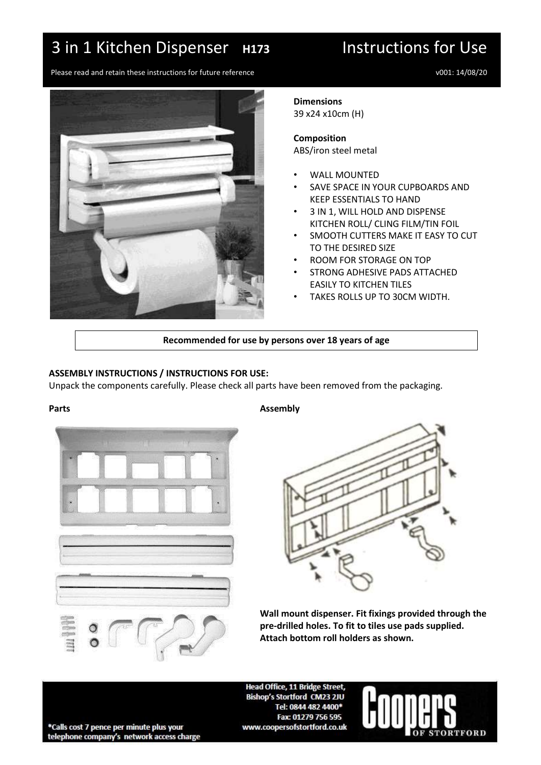# 3 in 1 Kitchen Dispenser **H173** Instructions for Use

Please read and retain these instructions for future reference v001: 14/08/20



### **Dimensions**

39 x24 x10cm (H)

### **Composition** ABS/iron steel metal

- WALL MOUNTED
- SAVE SPACE IN YOUR CUPBOARDS AND KEEP ESSENTIALS TO HAND
- 3 IN 1, WILL HOLD AND DISPENSE KITCHEN ROLL/ CLING FILM/TIN FOIL
- SMOOTH CUTTERS MAKE IT EASY TO CUT TO THE DESIRED SIZE
- ROOM FOR STORAGE ON TOP
- STRONG ADHESIVE PADS ATTACHED EASILY TO KITCHEN TILES
- TAKES ROLLS UP TO 30CM WIDTH.

# **Recommended for use by persons over 18 years of age**

## **ASSEMBLY INSTRUCTIONS / INSTRUCTIONS FOR USE:**

Unpack the components carefully. Please check all parts have been removed from the packaging.



## Parts **Assembly**



**Wall mount dispenser. Fit fixings provided through the pre-drilled holes. To fit to tiles use pads supplied. Attach bottom roll holders as shown.**

Head Office, 11 Bridge Street, Bishop's Stortford CM23 2JU Tel: 0844 482 4400\* Fax: 01279 756 595 www.coopersofstortford.co.uk



\*Calls cost 7 pence per minute plus your telephone company's network access charge